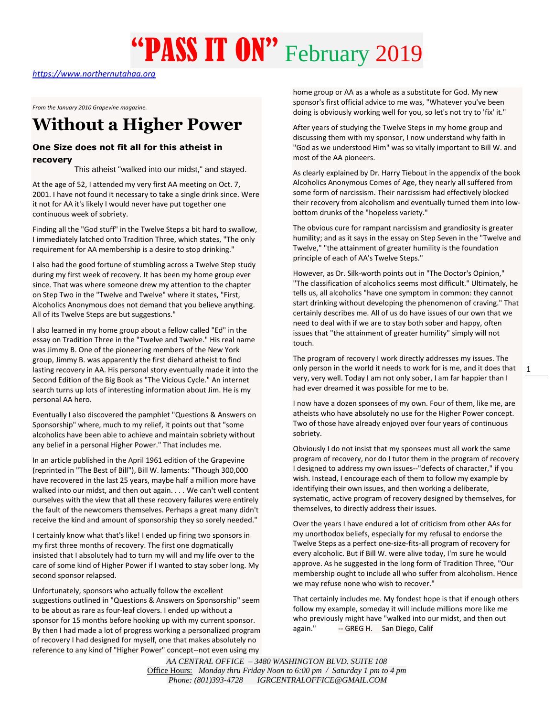*[https://www.northernutahaa.org](https://www.northernutahaa.org/)*

*From the January 2010 Grapevine magazine.*

## **Without a Higher Power**

### **One Size does not fit all for this atheist in recovery**

This atheist "walked into our midst," and stayed.

At the age of 52, I attended my very first AA meeting on Oct. 7, 2001. I have not found it necessary to take a single drink since. Were it not for AA it's likely I would never have put together one continuous week of sobriety.

Finding all the "God stuff" in the Twelve Steps a bit hard to swallow, I immediately latched onto Tradition Three, which states, "The only requirement for AA membership is a desire to stop drinking."

I also had the good fortune of stumbling across a Twelve Step study during my first week of recovery. It has been my home group ever since. That was where someone drew my attention to the chapter on Step Two in the "Twelve and Twelve" where it states, "First, Alcoholics Anonymous does not demand that you believe anything. All of its Twelve Steps are but suggestions."

I also learned in my home group about a fellow called "Ed" in the essay on Tradition Three in the "Twelve and Twelve." His real name was Jimmy B. One of the pioneering members of the New York group, Jimmy B. was apparently the first diehard atheist to find lasting recovery in AA. His personal story eventually made it into the Second Edition of the Big Book as "The Vicious Cycle." An internet search turns up lots of interesting information about Jim. He is my personal AA hero.

Eventually I also discovered the pamphlet "Questions & Answers on Sponsorship" where, much to my relief, it points out that "some alcoholics have been able to achieve and maintain sobriety without any belief in a personal Higher Power." That includes me.

In an article published in the April 1961 edition of the Grapevine (reprinted in "The Best of Bill"), Bill W. laments: "Though 300,000 have recovered in the last 25 years, maybe half a million more have walked into our midst, and then out again. . . . We can't well content ourselves with the view that all these recovery failures were entirely the fault of the newcomers themselves. Perhaps a great many didn't receive the kind and amount of sponsorship they so sorely needed."

I certainly know what that's like! I ended up firing two sponsors in my first three months of recovery. The first one dogmatically insisted that I absolutely had to turn my will and my life over to the care of some kind of Higher Power if I wanted to stay sober long. My second sponsor relapsed.

Unfortunately, sponsors who actually follow the excellent suggestions outlined in "Questions & Answers on Sponsorship" seem to be about as rare as four-leaf clovers. I ended up without a sponsor for 15 months before hooking up with my current sponsor. By then I had made a lot of progress working a personalized program of recovery I had designed for myself, one that makes absolutely no reference to any kind of "Higher Power" concept--not even using my

home group or AA as a whole as a substitute for God. My new sponsor's first official advice to me was, "Whatever you've been doing is obviously working well for you, so let's not try to 'fix' it."

After years of studying the Twelve Steps in my home group and discussing them with my sponsor, I now understand why faith in "God as we understood Him" was so vitally important to Bill W. and most of the AA pioneers.

As clearly explained by Dr. Harry Tiebout in the appendix of the book Alcoholics Anonymous Comes of Age, they nearly all suffered from some form of narcissism. Their narcissism had effectively blocked their recovery from alcoholism and eventually turned them into lowbottom drunks of the "hopeless variety."

The obvious cure for rampant narcissism and grandiosity is greater humility; and as it says in the essay on Step Seven in the "Twelve and Twelve," "the attainment of greater humility is the foundation principle of each of AA's Twelve Steps."

However, as Dr. Silk-worth points out in "The Doctor's Opinion," "The classification of alcoholics seems most difficult." Ultimately, he tells us, all alcoholics "have one symptom in common: they cannot start drinking without developing the phenomenon of craving." That certainly describes me. All of us do have issues of our own that we need to deal with if we are to stay both sober and happy, often issues that "the attainment of greater humility" simply will not touch.

The program of recovery I work directly addresses my issues. The only person in the world it needs to work for is me, and it does that very, very well. Today I am not only sober, I am far happier than I had ever dreamed it was possible for me to be.

I now have a dozen sponsees of my own. Four of them, like me, are atheists who have absolutely no use for the Higher Power concept. Two of those have already enjoyed over four years of continuous sobriety.

Obviously I do not insist that my sponsees must all work the same program of recovery, nor do I tutor them in the program of recovery I designed to address my own issues--"defects of character," if you wish. Instead, I encourage each of them to follow my example by identifying their own issues, and then working a deliberate, systematic, active program of recovery designed by themselves, for themselves, to directly address their issues.

Over the years I have endured a lot of criticism from other AAs for my unorthodox beliefs, especially for my refusal to endorse the Twelve Steps as a perfect one-size-fits-all program of recovery for every alcoholic. But if Bill W. were alive today, I'm sure he would approve. As he suggested in the long form of Tradition Three, "Our membership ought to include all who suffer from alcoholism. Hence we may refuse none who wish to recover."

That certainly includes me. My fondest hope is that if enough others follow my example, someday it will include millions more like me who previously might have "walked into our midst, and then out again." -- GREG H. San Diego, Calif

*AA CENTRAL OFFICE – 3480 WASHINGTON BLVD. SUITE 108* Office Hours: *Monday thru Friday Noon to 6:00 pm / Saturday 1 pm to 4 pm Phone: (801)393-4728 IGRCENTRALOFFICE@GMAIL.COM*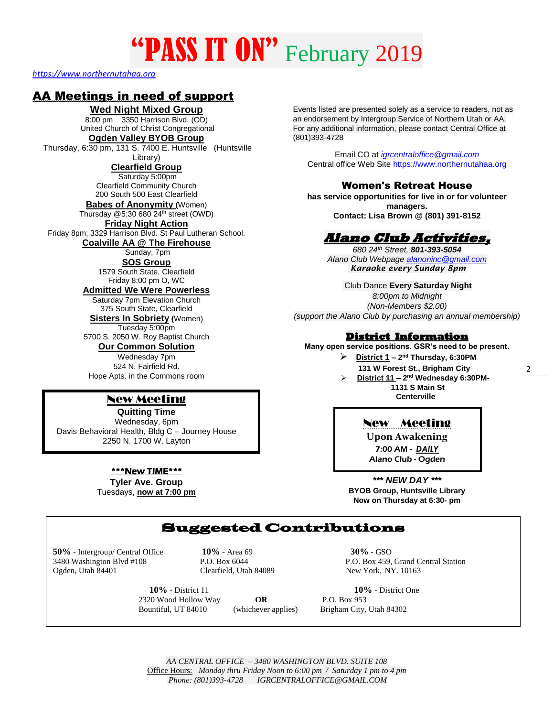*[https://www.northernutahaa.org](https://www.northernutahaa.org/)*

### AA Meetings in need of support

### **Wed Night Mixed Group**

8:00 pm 3350 Harrison Blvd. (OD) United Church of Christ Congregational **Ogden Valley BYOB Group**

Thursday, 6:30 pm, 131 S. 7400 E. Huntsville (Huntsville Library)

**Clearfield Group** Saturday 5:00pm Clearfield Community Church 200 South 500 East Clearfield **Babes of Anonymity (**Women)

Thursday  $@5:3068024^{\text{th}}$  street (OWD)

### **Friday Night Action**

Friday 8pm; 3329 Harrison Blvd. St Paul Lutheran School. **Coalville AA @ The Firehouse**

> Sunday, 7pm **SOS Group**

1579 South State, Clearfield Friday 8:00 pm O, WC

**Admitted We Were Powerless**

Saturday 7pm Elevation Church 375 South State, Clearfield

**Sisters In Sobriety (**Women)

Tuesday 5:00pm 5700 S. 2050 W. Roy Baptist Church

### **Our Common Solution**

Wednesday 7pm 524 N. Fairfield Rd. Hope Apts. in the Commons room

### New Meeting

**Quitting Time** Wednesday, 6pm Davis Behavioral Health, Bldg C – Journey House 2250 N. 1700 W. Layton

#### \*\*\*New TIME\*\*\*

**Tyler Ave. Group** Tuesdays, **now at 7:00 pm** Events listed are presented solely as a service to readers, not as an endorsement by Intergroup Service of Northern Utah or AA. For any additional information, please contact Central Office at (801)393-4728

Email CO at *[igrcentraloffice@gmail.com](mailto:igrcentraloffice@gmail.com)* Central office Web Sit[e https://www.northernutahaa.org](https://www.northernutahaa.org/)

### Women's Retreat House

**has service opportunities for live in or for volunteer managers. Contact: Lisa Brown @ (801) 391-8152**

### **Alano Club Activities,**

*680 24th Street, 801-393-5054 Alano Club Webpag[e alanoninc@gmail.com](mailto:alanoninc@gmail.com) Karaoke every Sunday 8pm*

Club Dance **Every Saturday Night** *8:00pm to Midnight (Non-Members \$2.00) (support the Alano Club by purchasing an annual membership)*

### **District Information**

#### **Many open service positions. GSR's need to be present.**

- ➢ **District 1 – 2 nd Thursday, 6:30PM 131 W Forest St., Brigham City**
- ➢ **District 11 – 2 nd Wednesday 6:30PM-1131 S Main St Centerville**

2

### New Meeting

**Upon Awakening** 7:00 AM - *DAILY* Alano Club - Ogden

*\*\*\* NEW DAY \*\*\** **BYOB Group, Huntsville Library Now on Thursday at 6:30- pm**

### Suggested Contributions

**50%** - Intergroup/ Central Office **10%** - Area 69 **30%** - GSO Ogden, Utah 84401 Clearfield, Utah 84089 New York, NY. 10163

**10%** - District 11 **10%** - District One 2320 Wood Hollow Way **OR** P.O. Box 953 Bountiful, UT 84010 (whichever applies) Brigham City, Utah 84302

3480 Washington Blvd #108 P.O. Box 6044 P.O. Box 459, Grand Central Station

*AA CENTRAL OFFICE – 3480 WASHINGTON BLVD. SUITE 108* Office Hours: *Monday thru Friday Noon to 6:00 pm / Saturday 1 pm to 4 pm Phone: (801)393-4728 IGRCENTRALOFFICE@GMAIL.COM*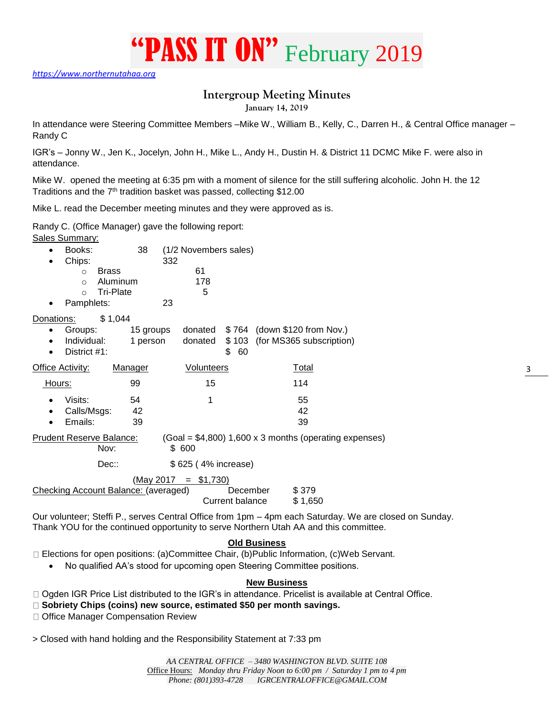*[https://www.northernutahaa.org](https://www.northernutahaa.org/)*

### **Intergroup Meeting Minutes**

"PASS IT ON" February 2019

**January 14, 2019**

In attendance were Steering Committee Members –Mike W., William B., Kelly, C., Darren H., & Central Office manager – Randy C

IGR's – Jonny W., Jen K., Jocelyn, John H., Mike L., Andy H., Dustin H. & District 11 DCMC Mike F. were also in attendance.

Mike W. opened the meeting at 6:35 pm with a moment of silence for the still suffering alcoholic. John H. the 12 Traditions and the 7th tradition basket was passed, collecting \$12.00

Mike L. read the December meeting minutes and they were approved as is.

Randy C. (Office Manager) gave the following report: Sales Summary:

|  | Books: |  | (1/2 Novembers sales) |
|--|--------|--|-----------------------|
|--|--------|--|-----------------------|

| $\bullet$ | Chips: |            | 332 |     |
|-----------|--------|------------|-----|-----|
|           |        | ∩ Brass    |     | 61  |
|           |        | o Aluminum |     | 178 |

|            | Tri-Plate |    |  |  |
|------------|-----------|----|--|--|
| Pamphlets: |           | 23 |  |  |

Donations: \$ 1,044

| $\bullet$<br>$\bullet$ | Groups:<br>Individual:<br>$\bullet$ District #1: | 15 groups<br>1 person |                   | \$ 60 | donated $$764$ (down \$120 from Nov.)<br>donated \$103 (for MS365 subscription) |
|------------------------|--------------------------------------------------|-----------------------|-------------------|-------|---------------------------------------------------------------------------------|
|                        | Office Activity:                                 | Manager               | <b>Volunteers</b> |       | Total                                                                           |

| Hours:               | 99 | 15 | 114 |
|----------------------|----|----|-----|
| Visits:<br>$\bullet$ | 54 |    | 55  |
| • Calls/Msgs:        | 42 |    | 42  |
| Emails:<br>$\bullet$ | 39 |    | 39  |
|                      |    |    |     |

Prudent Reserve Balance: (Goal = \$4,800) 1,600 x 3 months (operating expenses) Nov: \$ 600

Dec:: \$ 625 ( 4% increase)

| $(May 2017 = $1,730)$ |  |
|-----------------------|--|

Checking Account Balance: (averaged) December \$ 379 Current balance \$ 1,650

Our volunteer; Steffi P., serves Central Office from 1pm – 4pm each Saturday. We are closed on Sunday. Thank YOU for the continued opportunity to serve Northern Utah AA and this committee.

### **Old Business**

 $\Box$  Elections for open positions: (a)Committee Chair, (b)Public Information, (c)Web Servant.

• No qualified AA's stood for upcoming open Steering Committee positions.

### **New Business**

- Ogden IGR Price List distributed to the IGR's in attendance. Pricelist is available at Central Office.
- **Sobriety Chips (coins) new source, estimated \$50 per month savings.**

□ Office Manager Compensation Review

> Closed with hand holding and the Responsibility Statement at 7:33 pm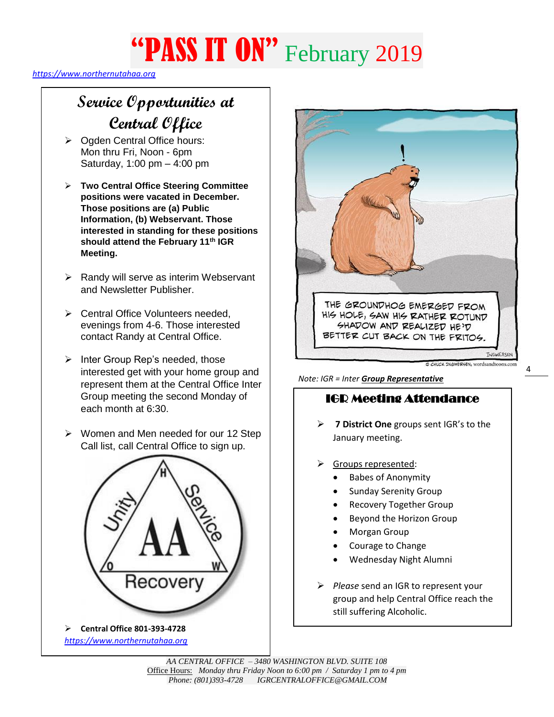### *[https://www.northernutahaa.org](https://www.northernutahaa.org/)*

## **Service Opportunities at Central Office**

- ➢ Ogden Central Office hours: Mon thru Fri, Noon - 6pm Saturday, 1:00 pm – 4:00 pm
- ➢ **Two Central Office Steering Committee positions were vacated in December. Those positions are (a) Public Information, (b) Webservant. Those interested in standing for these positions should attend the February 11th IGR Meeting.**
- $\triangleright$  Randy will serve as interim Webservant and Newsletter Publisher.
- ➢ Central Office Volunteers needed, evenings from 4-6. Those interested contact Randy at Central Office.
- ➢ Inter Group Rep's needed, those interested get with your home group and represent them at the Central Office Inter Group meeting the second Monday of each month at 6:30.
- ➢ Women and Men needed for our 12 Step Call list, call Central Office to sign up.



*[https://www.northernutahaa.org](https://www.northernutahaa.org/)*



 *Note: IGR = Inter Group Representative*

### IGR Meeting Attendance

- ➢ **7 District One** groups sent IGR's to the January meeting.
- ➢ Groups represented:
	- Babes of Anonymity
	- Sunday Serenity Group
	- Recovery Together Group
	- Beyond the Horizon Group
	- Morgan Group
	- Courage to Change
	- Wednesday Night Alumni
- ➢ *Please* send an IGR to represent your group and help Central Office reach the still suffering Alcoholic.

*AA CENTRAL OFFICE – 3480 WASHINGTON BLVD. SUITE 108* Office Hours: *Monday thru Friday Noon to 6:00 pm / Saturday 1 pm to 4 pm Phone: (801)393-4728 IGRCENTRALOFFICE@GMAIL.COM*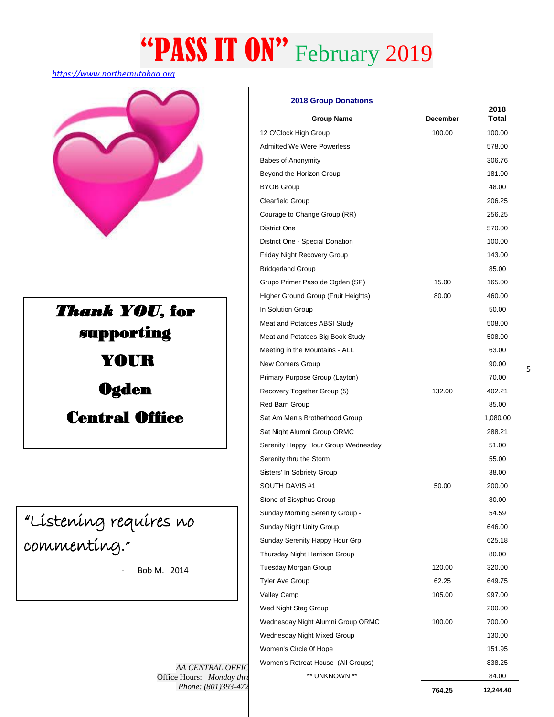*[https://www.northernutahaa.org](https://www.northernutahaa.org/)*



*Thank YOU*, for supporting YOUR **Ogden** Central Office

# "Listening requires no commenting."

Bob M. 2014

| <b>2018 Group Donations</b>         |          |               |
|-------------------------------------|----------|---------------|
| <b>Group Name</b>                   | December | 2018<br>Total |
| 12 O'Clock High Group               | 100.00   | 100.00        |
| <b>Admitted We Were Powerless</b>   |          | 578.00        |
| Babes of Anonymity                  |          | 306.76        |
| Beyond the Horizon Group            |          | 181.00        |
| <b>BYOB Group</b>                   |          | 48.00         |
| <b>Clearfield Group</b>             |          | 206.25        |
| Courage to Change Group (RR)        |          | 256.25        |
| <b>District One</b>                 |          | 570.00        |
| District One - Special Donation     |          | 100.00        |
| Friday Night Recovery Group         |          | 143.00        |
| <b>Bridgerland Group</b>            |          | 85.00         |
| Grupo Primer Paso de Ogden (SP)     | 15.00    | 165.00        |
| Higher Ground Group (Fruit Heights) | 80.00    | 460.00        |
| In Solution Group                   |          | 50.00         |
| Meat and Potatoes ABSI Study        |          | 508.00        |
| Meat and Potatoes Big Book Study    |          | 508.00        |
| Meeting in the Mountains - ALL      |          | 63.00         |
| New Comers Group                    |          | 90.00         |
| Primary Purpose Group (Layton)      |          | 70.00         |
| Recovery Together Group (5)         | 132.00   | 402.21        |
| Red Barn Group                      |          | 85.00         |
| Sat Am Men's Brotherhood Group      |          | 1,080.00      |
| Sat Night Alumni Group ORMC         |          | 288.21        |
| Serenity Happy Hour Group Wednesday |          | 51.00         |
| Serenity thru the Storm             |          | 55.00         |
| Sisters' In Sobriety Group          |          | 38.00         |
| SOUTH DAVIS #1                      | 50.00    | 200.00        |
| Stone of Sisyphus Group             |          | 80.00         |
| Sunday Morning Serenity Group -     |          | 54.59         |
| Sunday Night Unity Group            |          | 646.00        |
| Sunday Serenity Happy Hour Grp      |          | 625.18        |
| Thursday Night Harrison Group       |          | 80.00         |
| Tuesday Morgan Group                | 120.00   | 320.00        |
| Tyler Ave Group                     | 62.25    | 649.75        |
| Valley Camp                         | 105.00   | 997.00        |
| Wed Night Stag Group                |          | 200.00        |
| Wednesday Night Alumni Group ORMC   | 100.00   | 700.00        |
| Wednesday Night Mixed Group         |          | 130.00        |
| Women's Circle 0f Hope              |          | 151.95        |
| Women's Retreat House (All Groups)  |          | 838.25        |
| ** UNKNOWN **                       |          | 84.00         |

*AA CENTRAL OFFIC* Office Hours: *Monday thru Phone:* (801)393-472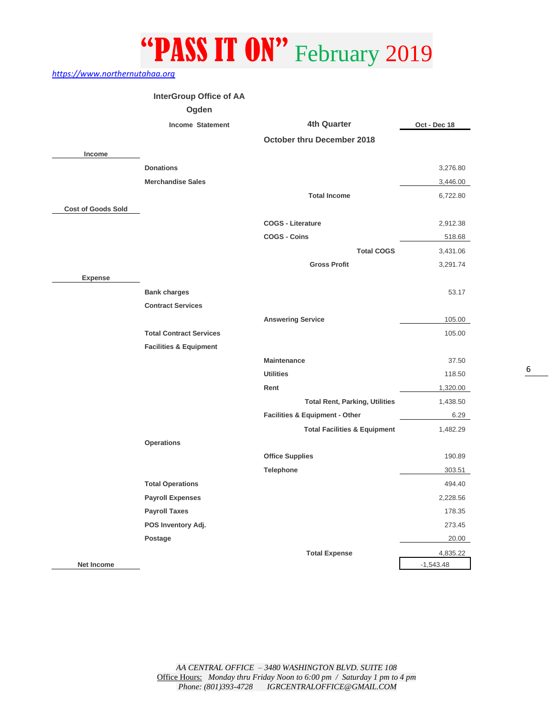*[https://www.northernutahaa.org](https://www.northernutahaa.org/)*

|                           | <b>InterGroup Office of AA</b>    |                                         |              |
|---------------------------|-----------------------------------|-----------------------------------------|--------------|
|                           | Ogden                             |                                         |              |
|                           | <b>Income Statement</b>           | <b>4th Quarter</b>                      | Oct - Dec 18 |
|                           |                                   | October thru December 2018              |              |
| Income                    |                                   |                                         |              |
|                           | <b>Donations</b>                  |                                         | 3,276.80     |
|                           | <b>Merchandise Sales</b>          |                                         | 3,446.00     |
|                           |                                   | <b>Total Income</b>                     | 6,722.80     |
| <b>Cost of Goods Sold</b> |                                   |                                         |              |
|                           |                                   | <b>COGS - Literature</b>                | 2,912.38     |
|                           |                                   | <b>COGS - Coins</b>                     | 518.68       |
|                           |                                   | <b>Total COGS</b>                       | 3,431.06     |
|                           |                                   | <b>Gross Profit</b>                     | 3,291.74     |
| <b>Expense</b>            |                                   |                                         |              |
|                           | <b>Bank charges</b>               |                                         | 53.17        |
|                           | <b>Contract Services</b>          |                                         |              |
|                           |                                   | <b>Answering Service</b>                | 105.00       |
|                           | <b>Total Contract Services</b>    |                                         | 105.00       |
|                           | <b>Facilities &amp; Equipment</b> |                                         |              |
|                           |                                   | <b>Maintenance</b>                      | 37.50        |
|                           |                                   | <b>Utilities</b>                        | 118.50       |
|                           |                                   | Rent                                    | 1,320.00     |
|                           |                                   | <b>Total Rent, Parking, Utilities</b>   | 1,438.50     |
|                           |                                   | Facilities & Equipment - Other          | 6.29         |
|                           |                                   | <b>Total Facilities &amp; Equipment</b> | 1,482.29     |
|                           | <b>Operations</b>                 |                                         |              |
|                           |                                   | <b>Office Supplies</b>                  | 190.89       |
|                           |                                   | <b>Telephone</b>                        | 303.51       |
|                           | <b>Total Operations</b>           |                                         | 494.40       |
|                           | <b>Payroll Expenses</b>           |                                         | 2,228.56     |
|                           | <b>Payroll Taxes</b>              |                                         | 178.35       |
|                           | POS Inventory Adj.                |                                         | 273.45       |
|                           | Postage                           |                                         | 20.00        |
|                           |                                   | <b>Total Expense</b>                    | 4,835.22     |
| Net Income                |                                   |                                         | $-1,543.48$  |

6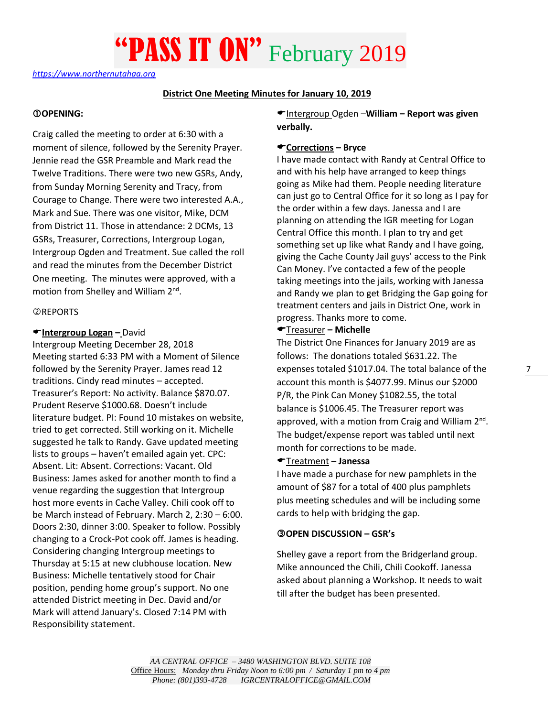*[https://www.northernutahaa.org](https://www.northernutahaa.org/)*

### **District One Meeting Minutes for January 10, 2019**

### **OPENING:**

Craig called the meeting to order at 6:30 with a moment of silence, followed by the Serenity Prayer. Jennie read the GSR Preamble and Mark read the Twelve Traditions. There were two new GSRs, Andy, from Sunday Morning Serenity and Tracy, from Courage to Change. There were two interested A.A., Mark and Sue. There was one visitor, Mike, DCM from District 11. Those in attendance: 2 DCMs, 13 GSRs, Treasurer, Corrections, Intergroup Logan, Intergroup Ogden and Treatment. Sue called the roll and read the minutes from the December District One meeting. The minutes were approved, with a motion from Shelley and William 2<sup>nd</sup>.

### **@REPORTS**

### **Intergroup Logan –** David

Intergroup Meeting December 28, 2018 Meeting started 6:33 PM with a Moment of Silence followed by the Serenity Prayer. James read 12 traditions. Cindy read minutes – accepted. Treasurer's Report: No activity. Balance \$870.07. Prudent Reserve \$1000.68. Doesn't include literature budget. PI: Found 10 mistakes on website, tried to get corrected. Still working on it. Michelle suggested he talk to Randy. Gave updated meeting lists to groups – haven't emailed again yet. CPC: Absent. Lit: Absent. Corrections: Vacant. Old Business: James asked for another month to find a venue regarding the suggestion that Intergroup host more events in Cache Valley. Chili cook off to be March instead of February. March 2, 2:30 – 6:00. Doors 2:30, dinner 3:00. Speaker to follow. Possibly changing to a Crock-Pot cook off. James is heading. Considering changing Intergroup meetings to Thursday at 5:15 at new clubhouse location. New Business: Michelle tentatively stood for Chair position, pending home group's support. No one attended District meeting in Dec. David and/or Mark will attend January's. Closed 7:14 PM with Responsibility statement.

Intergroup Ogden –**William – Report was given verbally.**

### **Corrections – Bryce**

I have made contact with Randy at Central Office to and with his help have arranged to keep things going as Mike had them. People needing literature can just go to Central Office for it so long as I pay for the order within a few days. Janessa and I are planning on attending the IGR meeting for Logan Central Office this month. I plan to try and get something set up like what Randy and I have going, giving the Cache County Jail guys' access to the Pink Can Money. I've contacted a few of the people taking meetings into the jails, working with Janessa and Randy we plan to get Bridging the Gap going for treatment centers and jails in District One, work in progress. Thanks more to come.

### Treasurer **– Michelle**

The District One Finances for January 2019 are as follows: The donations totaled \$631.22. The expenses totaled \$1017.04. The total balance of the account this month is \$4077.99. Minus our \$2000 P/R, the Pink Can Money \$1082.55, the total balance is \$1006.45. The Treasurer report was approved, with a motion from Craig and William 2<sup>nd</sup>. The budget/expense report was tabled until next month for corrections to be made.

### Treatment – **Janessa**

I have made a purchase for new pamphlets in the amount of \$87 for a total of 400 plus pamphlets plus meeting schedules and will be including some cards to help with bridging the gap.

### **OPEN DISCUSSION – GSR's**

Shelley gave a report from the Bridgerland group. Mike announced the Chili, Chili Cookoff. Janessa asked about planning a Workshop. It needs to wait till after the budget has been presented.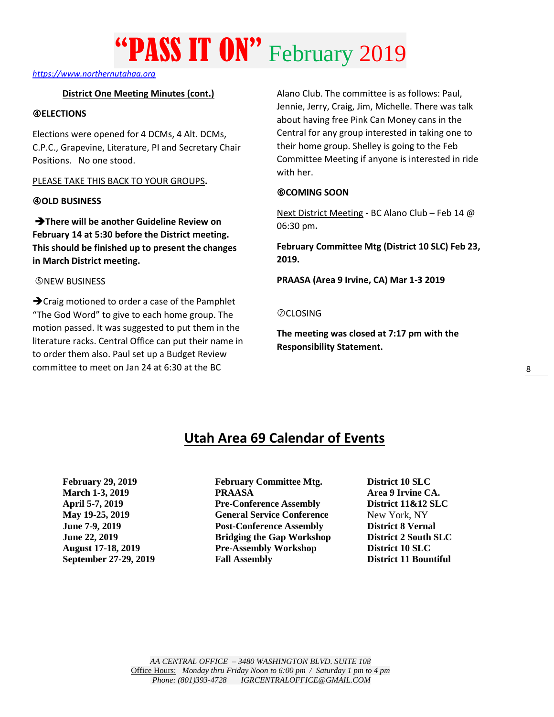*[https://www.northernutahaa.org](https://www.northernutahaa.org/)*

### **District One Meeting Minutes (cont.)**

### *<u>AFLECTIONS</u>*

Elections were opened for 4 DCMs, 4 Alt. DCMs, C.P.C., Grapevine, Literature, PI and Secretary Chair Positions. No one stood.

#### PLEASE TAKE THIS BACK TO YOUR GROUPS**.**

### **OLD BUSINESS**

➔**There will be another Guideline Review on February 14 at 5:30 before the District meeting. This should be finished up to present the changes in March District meeting.**

#### *<u>ONEW BUSINESS</u>*

**→**Craig motioned to order a case of the Pamphlet "The God Word" to give to each home group. The motion passed. It was suggested to put them in the literature racks. Central Office can put their name in to order them also. Paul set up a Budget Review committee to meet on Jan 24 at 6:30 at the BC

Alano Club. The committee is as follows: Paul, Jennie, Jerry, Craig, Jim, Michelle. There was talk about having free Pink Can Money cans in the Central for any group interested in taking one to their home group. Shelley is going to the Feb Committee Meeting if anyone is interested in ride with her.

### **COMING SOON**

Next District Meeting **-** BC Alano Club – Feb 14 @ 06:30 pm**.**

**February Committee Mtg (District 10 SLC) Feb 23, 2019.**

**PRAASA (Area 9 Irvine, CA) Mar 1-3 2019**

### **ØCLOSING**

**The meeting was closed at 7:17 pm with the Responsibility Statement.** 

## **Utah Area 69 Calendar of Events**

**February 29, 2019 February Committee Mtg. District 10 SLC**  March 1-3, 2019 **PRAASA PRAASA Area 9 Irvine CA. April 5-7, 2019 Pre-Conference Assembly District 11&12 SLC May 19-25, 2019 General Service Conference** New York, NY **June 7-9, 2019 Post-Conference Assembly District 8 Vernal June 22, 2019 Bridging the Gap Workshop District 2 South SLC August 17-18, 2019 Pre-Assembly Workshop District 10 SLC September 27-29, 2019 Fall Assembly District 11 Bountiful**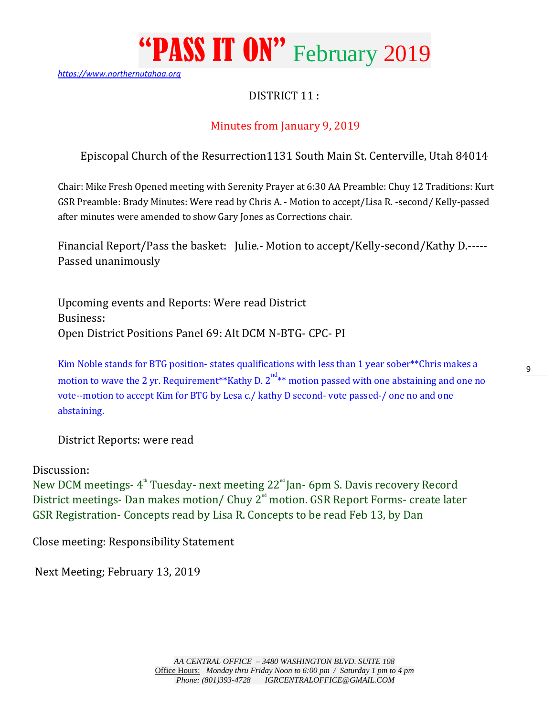

*[https://www.northernutahaa.org](https://www.northernutahaa.org/)*

### DISTRICT 11 :

### Minutes from January 9, 2019

Episcopal Church of the Resurrection1131 South Main St. Centerville, Utah 84014

Chair: Mike Fresh Opened meeting with Serenity Prayer at 6:30 AA Preamble: Chuy 12 Traditions: Kurt GSR Preamble: Brady Minutes: Were read by Chris A. - Motion to accept/Lisa R. -second/ Kelly-passed after minutes were amended to show Gary Jones as Corrections chair.

Financial Report/Pass the basket: Julie.- Motion to accept/Kelly-second/Kathy D.----- Passed unanimously

Upcoming events and Reports: Were read District Business: Open District Positions Panel 69: Alt DCM N-BTG- CPC- PI

Kim Noble stands for BTG position- states qualifications with less than 1 year sober\*\*Chris makes a motion to wave the 2 yr. Requirement\*\*Kathy D. 2<sup>nd</sup>\*\* motion passed with one abstaining and one no vote--motion to accept Kim for BTG by Lesa c./ kathy D second- vote passed-/ one no and one abstaining.

District Reports: were read

Discussion:

New DCM meetings-  $4^{\text{th}}$  Tuesday- next meeting 22<sup>nd</sup> Jan- 6pm S. Davis recovery Record District meetings- Dan makes motion/ Chuy  $2<sup>nd</sup>$  motion. GSR Report Forms- create later GSR Registration- Concepts read by Lisa R. Concepts to be read Feb 13, by Dan

Close meeting: Responsibility Statement

Next Meeting; February 13, 2019